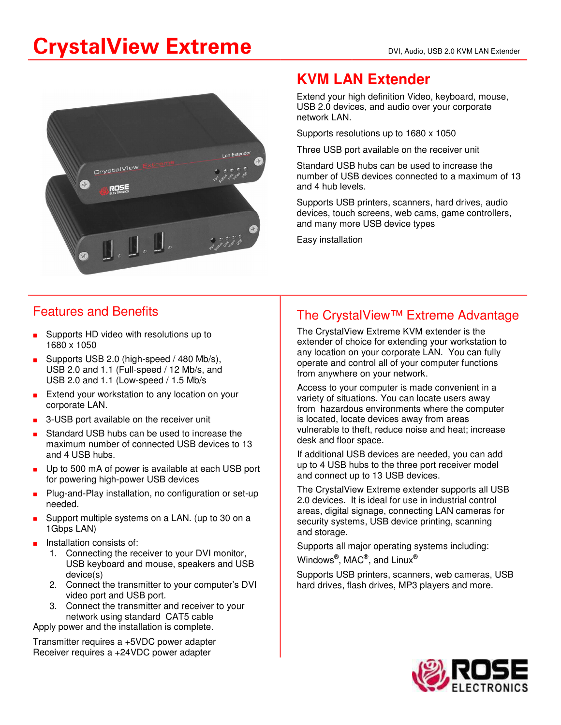# CrystalView Extreme DVI, Audio, USB 2.0 KVM LAN Extender



### **KVM LAN Extender**

Extend your high definition Video, keyboard, mouse, USB 2.0 devices, and audio over your corporate network LAN.

Supports resolutions up to 1680 x 1050

Three USB port available on the receiver unit

Standard USB hubs can be used to increase the number of USB devices connected to a maximum of 13 and 4 hub levels.

Supports USB printers, scanners, hard drives, audio devices, touch screens, web cams, game controllers, and many more USB device types

Easy installation

#### Features and Benefits

- Supports HD video with resolutions up to 1680 x 1050
- Supports USB 2.0 (high-speed / 480 Mb/s), USB 2.0 and 1.1 (Full-speed / 12 Mb/s, and USB 2.0 and 1.1 (Low-speed / 1.5 Mb/s
- Extend your workstation to any location on your corporate LAN.
- ? 3-USB port available on the receiver unit
- Standard USB hubs can be used to increase the maximum number of connected USB devices to 13 and 4 USB hubs.
- **Druma** Up to 500 mA of power is available at each USB port for powering high-power USB devices
- Plug-and-Play installation, no configuration or set-up needed.
- Support multiple systems on a LAN. (up to 30 on a 1Gbps LAN)
- Installation consists of:
	- 1. Connecting the receiver to your DVI monitor, USB keyboard and mouse, speakers and USB device(s)
	- 2. Connect the transmitter to your computer's DVI video port and USB port.
	- 3. Connect the transmitter and receiver to your network using standard CAT5 cable

Apply power and the installation is complete.

Transmitter requires a +5VDC power adapter Receiver requires a +24VDC power adapter

#### The CrystalView™ Extreme Advantage

The CrystalView Extreme KVM extender is the extender of choice for extending your workstation to any location on your corporate LAN. You can fully operate and control all of your computer functions from anywhere on your network.

Access to your computer is made convenient in a variety of situations. You can locate users away from hazardous environments where the computer is located, locate devices away from areas vulnerable to theft, reduce noise and heat; increase desk and floor space.

If additional USB devices are needed, you can add up to 4 USB hubs to the three port receiver model and connect up to 13 USB devices.

The CrystalView Extreme extender supports all USB 2.0 devices. It is ideal for use in industrial control areas, digital signage, connecting LAN cameras for security systems, USB device printing, scanning and storage.

Supports all major operating systems including:

Windows $^\circledR,$  MAC $^\circledR,$  and Linux $^\circledR$ 

Supports USB printers, scanners, web cameras, USB hard drives, flash drives, MP3 players and more.